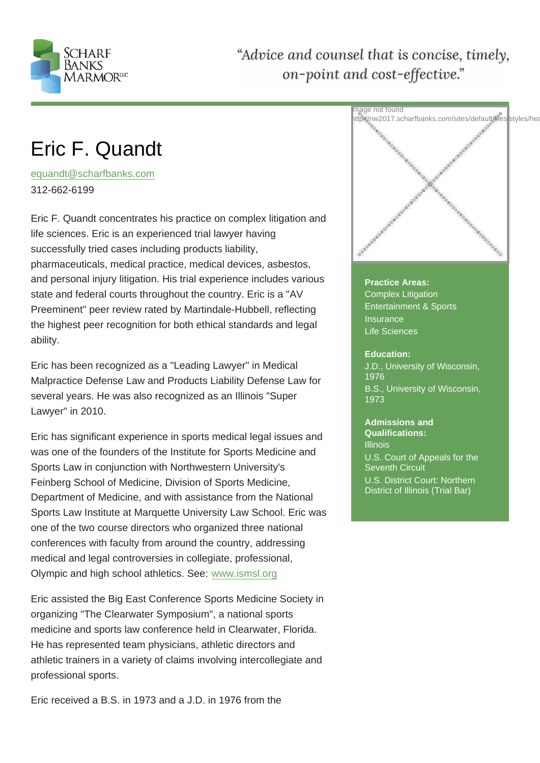# Eric F. Quandt

## equandt@scharfbanks.com

312-662-6199

[Eric F. Quandt concentrates](mailto:equandt@scharfbanks.com) his practice on complex litigation and life sciences. Eric is an experienced trial lawyer having successfully tried cases including products liability, pharmaceuticals, medical practice, medical devices, asbestos, and personal injury litigation. His trial experience includes various state and federal courts throughout the country. Eric is a "AV Preeminent" peer review rated by Martindale-Hubbell, reflecting the highest peer recognition for both ethical standards and legal ability.

Eric has been recognized as a "Leading Lawyer" in Medical Malpractice Defense Law and Products Liability Defense Law for several years. He was also recognized as an Illinois "Super Lawyer" in 2010.

Eric has significant experience in sports medical legal issues and was one of the founders of the Institute for Sports Medicine and Sports Law in conjunction with Northwestern University's Feinberg School of Medicine, Division of Sports Medicine, Department of Medicine, and with assistance from the National Sports Law Institute at Marquette University Law School. Eric was one of the two course directors who organized three national conferences with faculty from around the country, addressing medical and legal controversies in collegiate, professional, Olympic and high school athletics. See: www.ismsl.org

Eric assisted the Big East Conference Sports Medicine Society in organizing "The Clearwater Symposium[", a national spo](http://www.ismsl.org)rts medicine and sports law conference held in Clearwater, Florida. He has represented team physicians, athletic directors and athletic trainers in a variety of claims involving intercollegiate and professional sports.

Eric received a B.S. in 1973 and a J.D. in 1976 from the

#### Practice Areas:

Complex Litigation Entertainment & Sports **Insurance** Life Sciences

#### Education:

J.D., University of Wisconsin, 1976 B.S., University of Wisconsin, 1973

Admissions and Qualifications: Illinois U.S. Court of Appeals for the Seventh Circuit U.S. District Court: Northern District of Illinois (Trial Bar)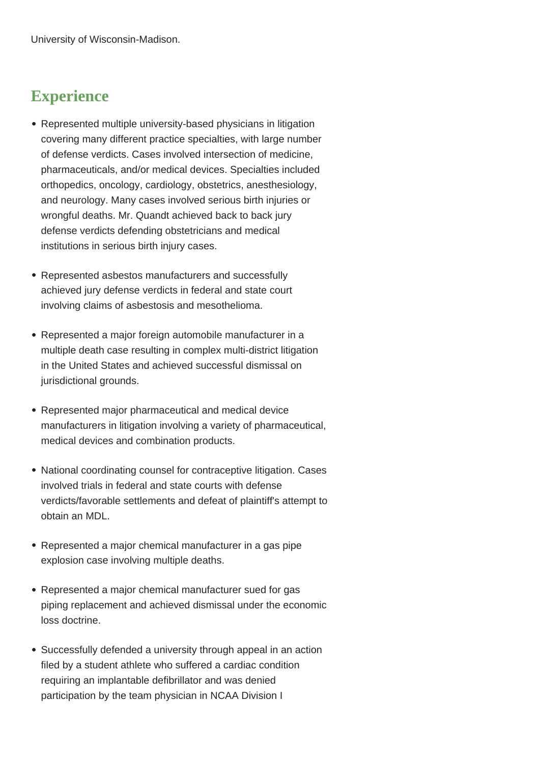## **Experience**

- Represented multiple university-based physicians in litigation covering many different practice specialties, with large number of defense verdicts. Cases involved intersection of medicine, pharmaceuticals, and/or medical devices. Specialties included orthopedics, oncology, cardiology, obstetrics, anesthesiology, and neurology. Many cases involved serious birth injuries or wrongful deaths. Mr. Quandt achieved back to back jury defense verdicts defending obstetricians and medical institutions in serious birth injury cases.
- Represented asbestos manufacturers and successfully achieved jury defense verdicts in federal and state court involving claims of asbestosis and mesothelioma.
- Represented a major foreign automobile manufacturer in a multiple death case resulting in complex multi-district litigation in the United States and achieved successful dismissal on jurisdictional grounds.
- Represented major pharmaceutical and medical device manufacturers in litigation involving a variety of pharmaceutical, medical devices and combination products.
- National coordinating counsel for contraceptive litigation. Cases involved trials in federal and state courts with defense verdicts/favorable settlements and defeat of plaintiff's attempt to obtain an MDL.
- Represented a major chemical manufacturer in a gas pipe explosion case involving multiple deaths.
- Represented a major chemical manufacturer sued for gas piping replacement and achieved dismissal under the economic loss doctrine.
- Successfully defended a university through appeal in an action filed by a student athlete who suffered a cardiac condition requiring an implantable defibrillator and was denied participation by the team physician in NCAA Division I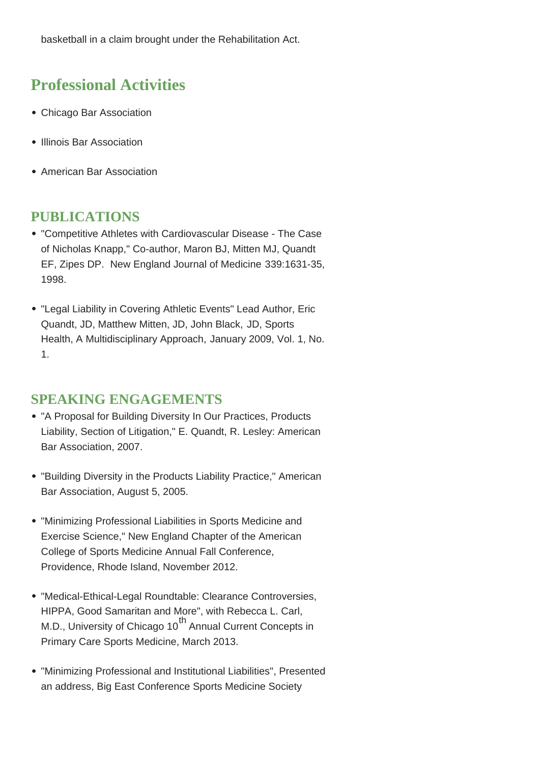basketball in a claim brought under the Rehabilitation Act.

## **Professional Activities**

- Chicago Bar Association
- Illinois Bar Association
- American Bar Association

### **PUBLICATIONS**

- "Competitive Athletes with Cardiovascular Disease The Case of Nicholas Knapp," Co-author, Maron BJ, Mitten MJ, Quandt EF, Zipes DP. New England Journal of Medicine 339:1631-35, 1998.
- "Legal Liability in Covering Athletic Events" Lead Author, Eric Quandt, JD, Matthew Mitten, JD, John Black, JD, Sports Health, A Multidisciplinary Approach, January 2009, Vol. 1, No. 1.

#### **SPEAKING ENGAGEMENTS**

- "A Proposal for Building Diversity In Our Practices, Products Liability, Section of Litigation," E. Quandt, R. Lesley: American Bar Association, 2007.
- "Building Diversity in the Products Liability Practice," American Bar Association, August 5, 2005.
- "Minimizing Professional Liabilities in Sports Medicine and Exercise Science," New England Chapter of the American College of Sports Medicine Annual Fall Conference, Providence, Rhode Island, November 2012.
- "Medical-Ethical-Legal Roundtable: Clearance Controversies, HIPPA, Good Samaritan and More", with Rebecca L. Carl, M.D., University of Chicago 10<sup>th</sup> Annual Current Concepts in Primary Care Sports Medicine, March 2013.
- "Minimizing Professional and Institutional Liabilities", Presented an address, Big East Conference Sports Medicine Society